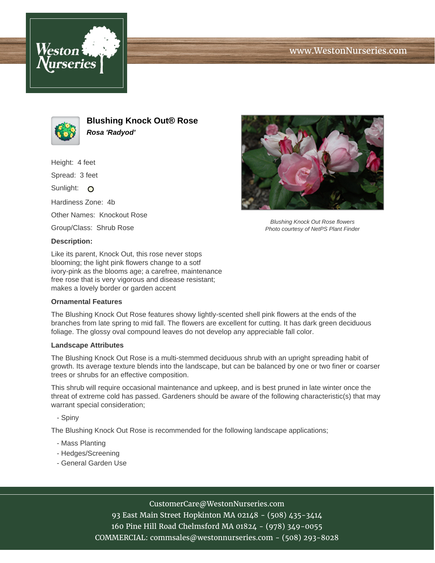



**Blushing Knock Out® Rose Rosa 'Radyod'**

Height: 4 feet

Spread: 3 feet

Sunlight: O

Hardiness Zone: 4b

Other Names: Knockout Rose

Group/Class: Shrub Rose

## **Description:**

Like its parent, Knock Out, this rose never stops blooming; the light pink flowers change to a sotf ivory-pink as the blooms age; a carefree, maintenance free rose that is very vigorous and disease resistant; makes a lovely border or garden accent

## **Ornamental Features**

The Blushing Knock Out Rose features showy lightly-scented shell pink flowers at the ends of the branches from late spring to mid fall. The flowers are excellent for cutting. It has dark green deciduous foliage. The glossy oval compound leaves do not develop any appreciable fall color.

## **Landscape Attributes**

The Blushing Knock Out Rose is a multi-stemmed deciduous shrub with an upright spreading habit of growth. Its average texture blends into the landscape, but can be balanced by one or two finer or coarser trees or shrubs for an effective composition.

This shrub will require occasional maintenance and upkeep, and is best pruned in late winter once the threat of extreme cold has passed. Gardeners should be aware of the following characteristic(s) that may warrant special consideration;

- Spiny

The Blushing Knock Out Rose is recommended for the following landscape applications;

- Mass Planting
- Hedges/Screening
- General Garden Use



93 East Main Street Hopkinton MA 02148 - (508) 435-3414 160 Pine Hill Road Chelmsford MA 01824 - (978) 349-0055 COMMERCIAL: commsales@westonnurseries.com - (508) 293-8028



Blushing Knock Out Rose flowers Photo courtesy of NetPS Plant Finder